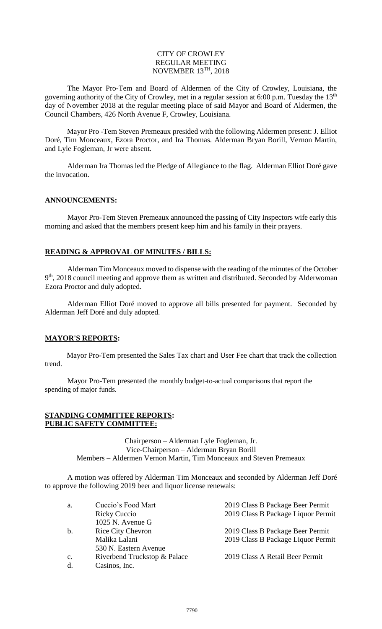#### CITY OF CROWLEY REGULAR MEETING NOVEMBER 13TH, 2018

The Mayor Pro-Tem and Board of Aldermen of the City of Crowley, Louisiana, the governing authority of the City of Crowley, met in a regular session at 6:00 p.m. Tuesday the 13<sup>th</sup> day of November 2018 at the regular meeting place of said Mayor and Board of Aldermen, the Council Chambers, 426 North Avenue F, Crowley, Louisiana.

Mayor Pro -Tem Steven Premeaux presided with the following Aldermen present: J. Elliot Doré, Tim Monceaux, Ezora Proctor, and Ira Thomas. Alderman Bryan Borill, Vernon Martin, and Lyle Fogleman, Jr were absent.

Alderman Ira Thomas led the Pledge of Allegiance to the flag. Alderman Elliot Doré gave the invocation.

# **ANNOUNCEMENTS:**

Mayor Pro-Tem Steven Premeaux announced the passing of City Inspectors wife early this morning and asked that the members present keep him and his family in their prayers.

# **READING & APPROVAL OF MINUTES / BILLS:**

Alderman Tim Monceaux moved to dispense with the reading of the minutes of the October 9<sup>th</sup>, 2018 council meeting and approve them as written and distributed. Seconded by Alderwoman Ezora Proctor and duly adopted.

Alderman Elliot Doré moved to approve all bills presented for payment. Seconded by Alderman Jeff Doré and duly adopted.

# **MAYOR'S REPORTS:**

Mayor Pro-Tem presented the Sales Tax chart and User Fee chart that track the collection trend.

Mayor Pro-Tem presented the monthly budget-to-actual comparisons that report the spending of major funds.

#### **STANDING COMMITTEE REPORTS: PUBLIC SAFETY COMMITTEE:**

Chairperson – Alderman Lyle Fogleman, Jr. Vice-Chairperson – Alderman Bryan Borill Members – Aldermen Vernon Martin, Tim Monceaux and Steven Premeaux

A motion was offered by Alderman Tim Monceaux and seconded by Alderman Jeff Doré to approve the following 2019 beer and liquor license renewals:

| a.             | Cuccio's Food Mart           | 2019 Class B Package Beer Permit   |
|----------------|------------------------------|------------------------------------|
|                | Ricky Cuccio                 | 2019 Class B Package Liquor Permit |
|                | $1025$ N. Avenue G           |                                    |
| b.             | <b>Rice City Chevron</b>     | 2019 Class B Package Beer Permit   |
|                | Malika Lalani                | 2019 Class B Package Liquor Permit |
|                | 530 N. Eastern Avenue        |                                    |
| $\mathbf{c}$ . | Riverbend Truckstop & Palace | 2019 Class A Retail Beer Permit    |
| d.             | Casinos, Inc.                |                                    |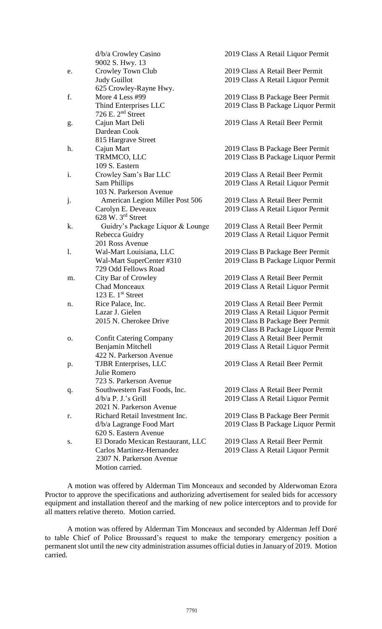|                | d/b/a Crowley Casino              | 2019 Class A Retail Liquor Permit  |
|----------------|-----------------------------------|------------------------------------|
|                | 9002 S. Hwy. 13                   |                                    |
| e.             | Crowley Town Club                 | 2019 Class A Retail Beer Permit    |
|                | <b>Judy Guillot</b>               | 2019 Class A Retail Liquor Permit  |
|                | 625 Crowley-Rayne Hwy.            |                                    |
| f.             | More 4 Less #99                   | 2019 Class B Package Beer Permit   |
|                | Thind Enterprises LLC             | 2019 Class B Package Liquor Permit |
|                | 726 E. $2nd$ Street               |                                    |
| g.             | Cajun Mart Deli                   | 2019 Class A Retail Beer Permit    |
|                | Dardean Cook                      |                                    |
|                | 815 Hargrave Street               |                                    |
| h.             | Cajun Mart                        | 2019 Class B Package Beer Permit   |
|                | TRMMCO, LLC                       | 2019 Class B Package Liquor Permit |
|                | 109 S. Eastern                    |                                    |
| i.             | Crowley Sam's Bar LLC             | 2019 Class A Retail Beer Permit    |
|                | <b>Sam Phillips</b>               | 2019 Class A Retail Liquor Permit  |
|                | 103 N. Parkerson Avenue           |                                    |
| j.             | American Legion Miller Post 506   | 2019 Class A Retail Beer Permit    |
|                | Carolyn E. Deveaux                | 2019 Class A Retail Liquor Permit  |
|                | 628 W. 3rd Street                 |                                    |
| k.             | Guidry's Package Liquor & Lounge  | 2019 Class A Retail Beer Permit    |
|                | Rebecca Guidry                    | 2019 Class A Retail Liquor Permit  |
|                | 201 Ross Avenue                   |                                    |
| $\mathbf{1}$ . | Wal-Mart Louisiana, LLC           | 2019 Class B Package Beer Permit   |
|                | Wal-Mart SuperCenter #310         | 2019 Class B Package Liquor Permit |
|                | 729 Odd Fellows Road              |                                    |
| m.             | City Bar of Crowley               | 2019 Class A Retail Beer Permit    |
|                | <b>Chad Monceaux</b>              | 2019 Class A Retail Liquor Permit  |
|                | 123 E. $1st$ Street               |                                    |
| n.             | Rice Palace, Inc.                 | 2019 Class A Retail Beer Permit    |
|                | Lazar J. Gielen                   | 2019 Class A Retail Liquor Permit  |
|                | 2015 N. Cherokee Drive            | 2019 Class B Package Beer Permit   |
|                |                                   | 2019 Class B Package Liquor Permit |
| 0.             | <b>Confit Catering Company</b>    | 2019 Class A Retail Beer Permit    |
|                | Benjamin Mitchell                 | 2019 Class A Retail Liquor Permit  |
|                | 422 N. Parkerson Avenue           |                                    |
| p.             | <b>TJBR</b> Enterprises, LLC      | 2019 Class A Retail Beer Permit    |
|                | Julie Romero                      |                                    |
|                | 723 S. Parkerson Avenue           |                                    |
| q.             | Southwestern Fast Foods, Inc.     | 2019 Class A Retail Beer Permit    |
|                | $d/b/a$ P. J.'s Grill             | 2019 Class A Retail Liquor Permit  |
|                | 2021 N. Parkerson Avenue          |                                    |
| r.             | Richard Retail Investment Inc.    | 2019 Class B Package Beer Permit   |
|                | d/b/a Lagrange Food Mart          | 2019 Class B Package Liquor Permit |
|                | 620 S. Eastern Avenue             |                                    |
| S.             | El Dorado Mexican Restaurant, LLC | 2019 Class A Retail Beer Permit    |
|                | Carlos Martinez-Hernandez         | 2019 Class A Retail Liquor Permit  |
|                | 2307 N. Parkerson Avenue          |                                    |
|                | Motion carried.                   |                                    |

A motion was offered by Alderman Tim Monceaux and seconded by Alderwoman Ezora Proctor to approve the specifications and authorizing advertisement for sealed bids for accessory equipment and installation thereof and the marking of new police interceptors and to provide for all matters relative thereto. Motion carried.

A motion was offered by Alderman Tim Monceaux and seconded by Alderman Jeff Doré to table Chief of Police Broussard's request to make the temporary emergency position a permanent slot until the new city administration assumes official duties in January of 2019. Motion carried.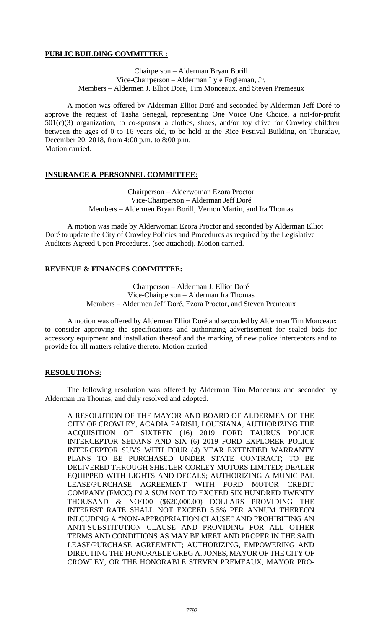# **PUBLIC BUILDING COMMITTEE :**

Chairperson – Alderman Bryan Borill Vice-Chairperson – Alderman Lyle Fogleman, Jr. Members – Aldermen J. Elliot Doré, Tim Monceaux, and Steven Premeaux

A motion was offered by Alderman Elliot Doré and seconded by Alderman Jeff Doré to approve the request of Tasha Senegal, representing One Voice One Choice, a not-for-profit 501(c)(3) organization, to co-sponsor a clothes, shoes, and/or toy drive for Crowley children between the ages of 0 to 16 years old, to be held at the Rice Festival Building, on Thursday, December 20, 2018, from 4:00 p.m. to 8:00 p.m. Motion carried.

# **INSURANCE & PERSONNEL COMMITTEE:**

Chairperson – Alderwoman Ezora Proctor Vice-Chairperson – Alderman Jeff Doré Members – Aldermen Bryan Borill, Vernon Martin, and Ira Thomas

A motion was made by Alderwoman Ezora Proctor and seconded by Alderman Elliot Doré to update the City of Crowley Policies and Procedures as required by the Legislative Auditors Agreed Upon Procedures. (see attached). Motion carried.

# **REVENUE & FINANCES COMMITTEE:**

Chairperson – Alderman J. Elliot Doré Vice-Chairperson – Alderman Ira Thomas Members – Aldermen Jeff Doré, Ezora Proctor, and Steven Premeaux

A motion was offered by Alderman Elliot Doré and seconded by Alderman Tim Monceaux to consider approving the specifications and authorizing advertisement for sealed bids for accessory equipment and installation thereof and the marking of new police interceptors and to provide for all matters relative thereto. Motion carried.

# **RESOLUTIONS:**

The following resolution was offered by Alderman Tim Monceaux and seconded by Alderman Ira Thomas, and duly resolved and adopted.

A RESOLUTION OF THE MAYOR AND BOARD OF ALDERMEN OF THE CITY OF CROWLEY, ACADIA PARISH, LOUISIANA, AUTHORIZING THE ACQUISITION OF SIXTEEN (16) 2019 FORD TAURUS POLICE INTERCEPTOR SEDANS AND SIX (6) 2019 FORD EXPLORER POLICE INTERCEPTOR SUVS WITH FOUR (4) YEAR EXTENDED WARRANTY PLANS TO BE PURCHASED UNDER STATE CONTRACT; TO BE DELIVERED THROUGH SHETLER-CORLEY MOTORS LIMITED; DEALER EQUIPPED WITH LIGHTS AND DECALS; AUTHORIZING A MUNICIPAL LEASE/PURCHASE AGREEMENT WITH FORD MOTOR CREDIT COMPANY (FMCC) IN A SUM NOT TO EXCEED SIX HUNDRED TWENTY THOUSAND & NO/100 (\$620,000.00) DOLLARS PROVIDING THE INTEREST RATE SHALL NOT EXCEED 5.5% PER ANNUM THEREON INLCUDING A "NON-APPROPRIATION CLAUSE" AND PROHIBITING AN ANTI-SUBSTITUTION CLAUSE AND PROVIDING FOR ALL OTHER TERMS AND CONDITIONS AS MAY BE MEET AND PROPER IN THE SAID LEASE/PURCHASE AGREEMENT; AUTHORIZING, EMPOWERING AND DIRECTING THE HONORABLE GREG A. JONES, MAYOR OF THE CITY OF CROWLEY, OR THE HONORABLE STEVEN PREMEAUX, MAYOR PRO-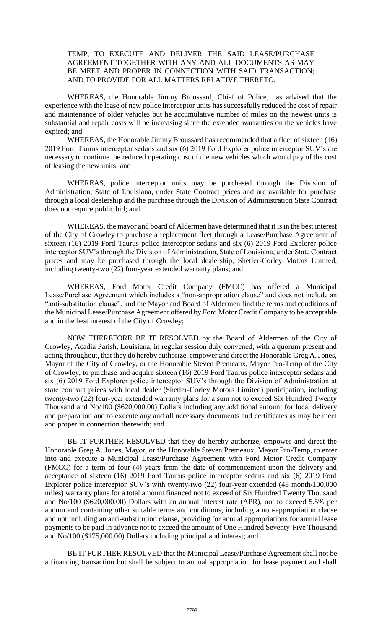# TEMP, TO EXECUTE AND DELIVER THE SAID LEASE/PURCHASE AGREEMENT TOGETHER WITH ANY AND ALL DOCUMENTS AS MAY BE MEET AND PROPER IN CONNECTION WITH SAID TRANSACTION; AND TO PROVIDE FOR ALL MATTERS RELATIVE THERETO.

WHEREAS, the Honorable Jimmy Broussard, Chief of Police, has advised that the experience with the lease of new police interceptor units has successfully reduced the cost of repair and maintenance of older vehicles but he accumulative number of miles on the newest units is substantial and repair costs will be increasing since the extended warranties on the vehicles have expired; and

WHEREAS, the Honorable Jimmy Broussard has recommended that a fleet of sixteen (16) 2019 Ford Taurus interceptor sedans and six (6) 2019 Ford Explorer police interceptor SUV's are necessary to continue the reduced operating cost of the new vehicles which would pay of the cost of leasing the new units; and

WHEREAS, police interceptor units may be purchased through the Division of Administration, State of Louisiana, under State Contract prices and are available for purchase through a local dealership and the purchase through the Division of Administration State Contract does not require public bid; and

WHEREAS, the mayor and board of Aldermen have determined that it is in the best interest of the City of Crowley to purchase a replacement fleet through a Lease/Purchase Agreement of sixteen (16) 2019 Ford Taurus police interceptor sedans and six (6) 2019 Ford Explorer police interceptor SUV's through the Division of Administration, State of Louisiana, under State Contract prices and may be purchased through the local dealership, Shetler-Corley Motors Limited, including twenty-two (22) four-year extended warranty plans; and

WHEREAS, Ford Motor Credit Company (FMCC) has offered a Municipal Lease/Purchase Agreement which includes a "non-appropriation clause" and does not include an "anti-substitution clause", and the Mayor and Board of Aldermen find the terms and conditions of the Municipal Lease/Purchase Agreement offered by Ford Motor Credit Company to be acceptable and in the best interest of the City of Crowley;

NOW THEREFORE BE IT RESOLVED by the Board of Aldermen of the City of Crowley, Acadia Parish, Louisiana, in regular session duly convened, with a quorum present and acting throughout, that they do hereby authorize, empower and direct the Honorable Greg A. Jones, Mayor of the City of Crowley, or the Honorable Steven Premeaux, Mayor Pro-Temp of the City of Crowley, to purchase and acquire sixteen (16) 2019 Ford Taurus police interceptor sedans and six (6) 2019 Ford Explorer police interceptor SUV's through the Division of Administration at state contract prices with local dealer (Shetler-Corley Motors Limited) participation, including twenty-two (22) four-year extended warranty plans for a sum not to exceed Six Hundred Twenty Thousand and No/100 (\$620,000.00) Dollars including any additional amount for local delivery and preparation and to execute any and all necessary documents and certificates as may be meet and proper in connection therewith; and

BE IT FURTHER RESOLVED that they do hereby authorize, empower and direct the Honorable Greg A. Jones, Mayor, or the Honorable Steven Premeaux, Mayor Pro-Temp, to enter into and execute a Municipal Lease/Purchase Agreement with Ford Motor Credit Company (FMCC) for a term of four (4) years from the date of commencement upon the delivery and acceptance of sixteen (16) 2019 Ford Taurus police interceptor sedans and six (6) 2019 Ford Explorer police interceptor SUV's with twenty-two (22) four-year extended (48 month/100,000 miles) warranty plans for a total amount financed not to exceed of Six Hundred Twenty Thousand and No/100 (\$620,000.00) Dollars with an annual interest rate (APR), not to exceed 5.5% per annum and containing other suitable terms and conditions, including a non-appropriation clause and not including an anti-substitution clause, providing for annual appropriations for annual lease payments to be paid in advance not to exceed the amount of One Hundred Seventy-Five Thousand and No/100 (\$175,000.00) Dollars including principal and interest; and

BE IT FURTHER RESOLVED that the Municipal Lease/Purchase Agreement shall not be a financing transaction but shall be subject to annual appropriation for lease payment and shall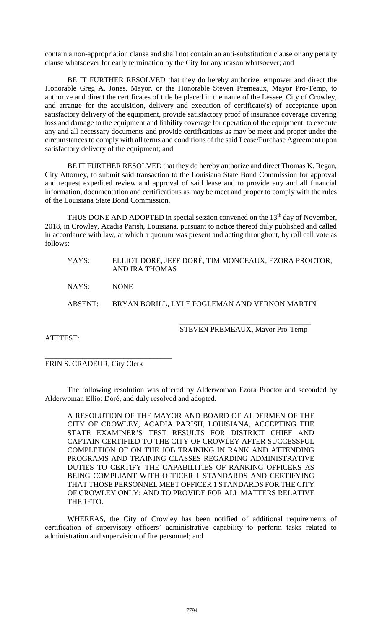contain a non-appropriation clause and shall not contain an anti-substitution clause or any penalty clause whatsoever for early termination by the City for any reason whatsoever; and

BE IT FURTHER RESOLVED that they do hereby authorize, empower and direct the Honorable Greg A. Jones, Mayor, or the Honorable Steven Premeaux, Mayor Pro-Temp, to authorize and direct the certificates of title be placed in the name of the Lessee, City of Crowley, and arrange for the acquisition, delivery and execution of certificate(s) of acceptance upon satisfactory delivery of the equipment, provide satisfactory proof of insurance coverage covering loss and damage to the equipment and liability coverage for operation of the equipment, to execute any and all necessary documents and provide certifications as may be meet and proper under the circumstances to comply with all terms and conditions of the said Lease/Purchase Agreement upon satisfactory delivery of the equipment; and

BE IT FURTHER RESOLVED that they do hereby authorize and direct Thomas K. Regan, City Attorney, to submit said transaction to the Louisiana State Bond Commission for approval and request expedited review and approval of said lease and to provide any and all financial information, documentation and certifications as may be meet and proper to comply with the rules of the Louisiana State Bond Commission.

THUS DONE AND ADOPTED in special session convened on the  $13<sup>th</sup>$  day of November, 2018, in Crowley, Acadia Parish, Louisiana, pursuant to notice thereof duly published and called in accordance with law, at which a quorum was present and acting throughout, by roll call vote as follows:

| YAYS:   | ELLIOT DORÉ, JEFF DORÉ, TIM MONCEAUX, EZORA PROCTOR,<br>AND IRA THOMAS |
|---------|------------------------------------------------------------------------|
| NAYS: ' | <b>NONE</b>                                                            |
|         | ABSENT: BRYAN BORILL, LYLE FOGLEMAN AND VERNON MARTIN                  |
|         | STEVEN PREMEAUX, Mayor Pro-Temp                                        |

ATTTEST:

\_\_\_\_\_\_\_\_\_\_\_\_\_\_\_\_\_\_\_\_\_\_\_\_\_\_\_\_\_\_\_\_\_\_ ERIN S. CRADEUR, City Clerk

The following resolution was offered by Alderwoman Ezora Proctor and seconded by Alderwoman Elliot Doré, and duly resolved and adopted.

A RESOLUTION OF THE MAYOR AND BOARD OF ALDERMEN OF THE CITY OF CROWLEY, ACADIA PARISH, LOUISIANA, ACCEPTING THE STATE EXAMINER'S TEST RESULTS FOR DISTRICT CHIEF AND CAPTAIN CERTIFIED TO THE CITY OF CROWLEY AFTER SUCCESSFUL COMPLETION OF ON THE JOB TRAINING IN RANK AND ATTENDING PROGRAMS AND TRAINING CLASSES REGARDING ADMINISTRATIVE DUTIES TO CERTIFY THE CAPABILITIES OF RANKING OFFICERS AS BEING COMPLIANT WITH OFFICER 1 STANDARDS AND CERTIFYING THAT THOSE PERSONNEL MEET OFFICER 1 STANDARDS FOR THE CITY OF CROWLEY ONLY; AND TO PROVIDE FOR ALL MATTERS RELATIVE THERETO.

WHEREAS, the City of Crowley has been notified of additional requirements of certification of supervisory officers' administrative capability to perform tasks related to administration and supervision of fire personnel; and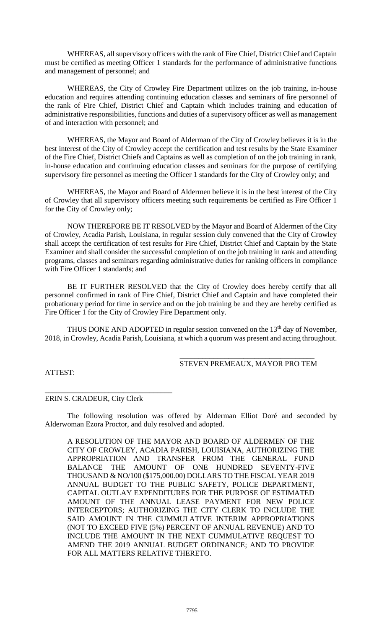WHEREAS, all supervisory officers with the rank of Fire Chief, District Chief and Captain must be certified as meeting Officer 1 standards for the performance of administrative functions and management of personnel; and

WHEREAS, the City of Crowley Fire Department utilizes on the job training, in-house education and requires attending continuing education classes and seminars of fire personnel of the rank of Fire Chief, District Chief and Captain which includes training and education of administrative responsibilities, functions and duties of a supervisory officer as well as management of and interaction with personnel; and

WHEREAS, the Mayor and Board of Alderman of the City of Crowley believes it is in the best interest of the City of Crowley accept the certification and test results by the State Examiner of the Fire Chief, District Chiefs and Captains as well as completion of on the job training in rank, in-house education and continuing education classes and seminars for the purpose of certifying supervisory fire personnel as meeting the Officer 1 standards for the City of Crowley only; and

WHEREAS, the Mayor and Board of Aldermen believe it is in the best interest of the City of Crowley that all supervisory officers meeting such requirements be certified as Fire Officer 1 for the City of Crowley only;

NOW THEREFORE BE IT RESOLVED by the Mayor and Board of Aldermen of the City of Crowley, Acadia Parish, Louisiana, in regular session duly convened that the City of Crowley shall accept the certification of test results for Fire Chief, District Chief and Captain by the State Examiner and shall consider the successful completion of on the job training in rank and attending programs, classes and seminars regarding administrative duties for ranking officers in compliance with Fire Officer 1 standards; and

BE IT FURTHER RESOLVED that the City of Crowley does hereby certify that all personnel confirmed in rank of Fire Chief, District Chief and Captain and have completed their probationary period for time in service and on the job training be and they are hereby certified as Fire Officer 1 for the City of Crowley Fire Department only.

THUS DONE AND ADOPTED in regular session convened on the 13<sup>th</sup> day of November, 2018, in Crowley, Acadia Parish, Louisiana, at which a quorum was present and acting throughout.

#### \_\_\_\_\_\_\_\_\_\_\_\_\_\_\_\_\_\_\_\_\_\_\_\_\_\_\_\_\_\_\_\_\_\_\_\_ STEVEN PREMEAUX, MAYOR PRO TEM

ATTEST:

# ERIN S. CRADEUR, City Clerk

\_\_\_\_\_\_\_\_\_\_\_\_\_\_\_\_\_\_\_\_\_\_\_\_\_\_\_\_\_\_\_\_\_\_

The following resolution was offered by Alderman Elliot Doré and seconded by Alderwoman Ezora Proctor, and duly resolved and adopted.

A RESOLUTION OF THE MAYOR AND BOARD OF ALDERMEN OF THE CITY OF CROWLEY, ACADIA PARISH, LOUISIANA, AUTHORIZING THE APPROPRIATION AND TRANSFER FROM THE GENERAL FUND BALANCE THE AMOUNT OF ONE HUNDRED SEVENTY-FIVE THOUSAND & NO/100 (\$175,000.00) DOLLARS TO THE FISCAL YEAR 2019 ANNUAL BUDGET TO THE PUBLIC SAFETY, POLICE DEPARTMENT, CAPITAL OUTLAY EXPENDITURES FOR THE PURPOSE OF ESTIMATED AMOUNT OF THE ANNUAL LEASE PAYMENT FOR NEW POLICE INTERCEPTORS; AUTHORIZING THE CITY CLERK TO INCLUDE THE SAID AMOUNT IN THE CUMMULATIVE INTERIM APPROPRIATIONS (NOT TO EXCEED FIVE (5%) PERCENT OF ANNUAL REVENUE) AND TO INCLUDE THE AMOUNT IN THE NEXT CUMMULATIVE REQUEST TO AMEND THE 2019 ANNUAL BUDGET ORDINANCE; AND TO PROVIDE FOR ALL MATTERS RELATIVE THERETO.